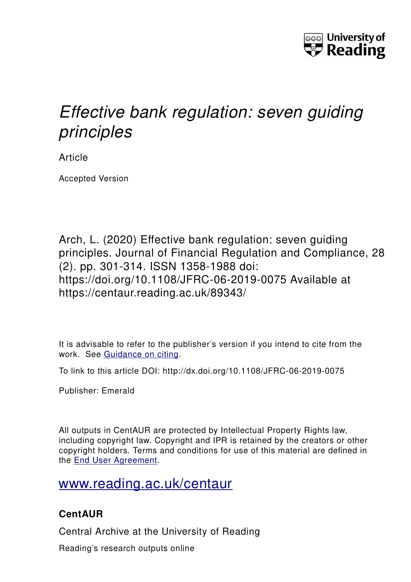

# *Effective bank regulation: seven guiding principles*

Article

Accepted Version

Arch, L. (2020) Effective bank regulation: seven guiding principles. Journal of Financial Regulation and Compliance, 28 (2). pp. 301-314. ISSN 1358-1988 doi: https://doi.org/10.1108/JFRC-06-2019-0075 Available at https://centaur.reading.ac.uk/89343/

It is advisable to refer to the publisher's version if you intend to cite from the work. See [Guidance on citing.](http://centaur.reading.ac.uk/71187/10/CentAUR%20citing%20guide.pdf)

To link to this article DOI: http://dx.doi.org/10.1108/JFRC-06-2019-0075

Publisher: Emerald

All outputs in CentAUR are protected by Intellectual Property Rights law, including copyright law. Copyright and IPR is retained by the creators or other copyright holders. Terms and conditions for use of this material are defined in the [End User Agreement.](http://centaur.reading.ac.uk/licence)

## [www.reading.ac.uk/centaur](http://www.reading.ac.uk/centaur)

### **CentAUR**

Central Archive at the University of Reading

Reading's research outputs online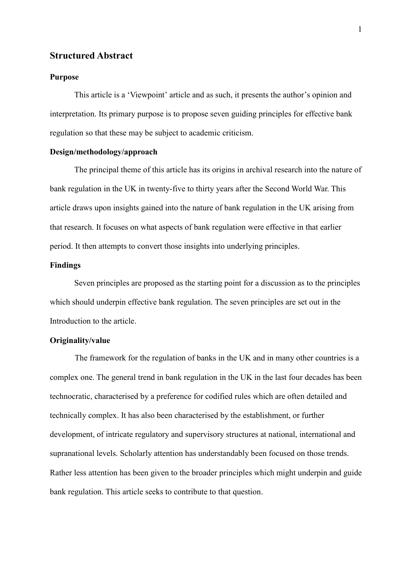#### **Structured Abstract**

#### **Purpose**

This article is a 'Viewpoint' article and as such, it presents the author's opinion and interpretation. Its primary purpose is to propose seven guiding principles for effective bank regulation so that these may be subject to academic criticism.

#### **Design/methodology/approach**

The principal theme of this article has its origins in archival research into the nature of bank regulation in the UK in twenty-five to thirty years after the Second World War. This article draws upon insights gained into the nature of bank regulation in the UK arising from that research. It focuses on what aspects of bank regulation were effective in that earlier period. It then attempts to convert those insights into underlying principles.

#### **Findings**

Seven principles are proposed as the starting point for a discussion as to the principles which should underpin effective bank regulation. The seven principles are set out in the Introduction to the article.

#### **Originality/value**

The framework for the regulation of banks in the UK and in many other countries is a complex one. The general trend in bank regulation in the UK in the last four decades has been technocratic, characterised by a preference for codified rules which are often detailed and technically complex. It has also been characterised by the establishment, or further development, of intricate regulatory and supervisory structures at national, international and supranational levels. Scholarly attention has understandably been focused on those trends. Rather less attention has been given to the broader principles which might underpin and guide bank regulation. This article seeks to contribute to that question.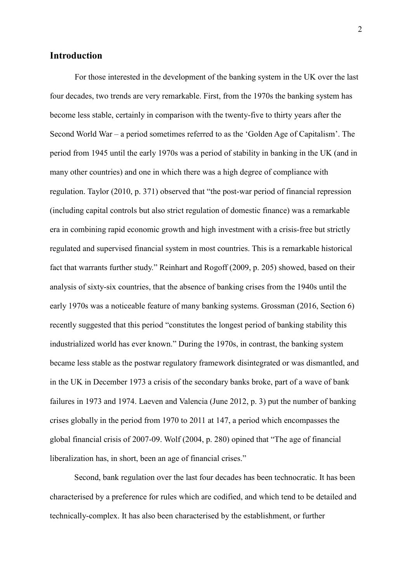#### **Introduction**

For those interested in the development of the banking system in the UK over the last four decades, two trends are very remarkable. First, from the 1970s the banking system has become less stable, certainly in comparison with the twenty-five to thirty years after the Second World War – a period sometimes referred to as the 'Golden Age of Capitalism'. The period from 1945 until the early 1970s was a period of stability in banking in the UK (and in many other countries) and one in which there was a high degree of compliance with regulation. Taylor (2010, p. 371) observed that "the post-war period of financial repression (including capital controls but also strict regulation of domestic finance) was a remarkable era in combining rapid economic growth and high investment with a crisis-free but strictly regulated and supervised financial system in most countries. This is a remarkable historical fact that warrants further study." Reinhart and Rogoff (2009, p. 205) showed, based on their analysis of sixty-six countries, that the absence of banking crises from the 1940s until the early 1970s was a noticeable feature of many banking systems. Grossman (2016, Section 6) recently suggested that this period "constitutes the longest period of banking stability this industrialized world has ever known." During the 1970s, in contrast, the banking system became less stable as the postwar regulatory framework disintegrated or was dismantled, and in the UK in December 1973 a crisis of the secondary banks broke, part of a wave of bank failures in 1973 and 1974. Laeven and Valencia (June 2012, p. 3) put the number of banking crises globally in the period from 1970 to 2011 at 147, a period which encompasses the global financial crisis of 2007-09. Wolf (2004, p. 280) opined that "The age of financial liberalization has, in short, been an age of financial crises."

Second, bank regulation over the last four decades has been technocratic. It has been characterised by a preference for rules which are codified, and which tend to be detailed and technically-complex. It has also been characterised by the establishment, or further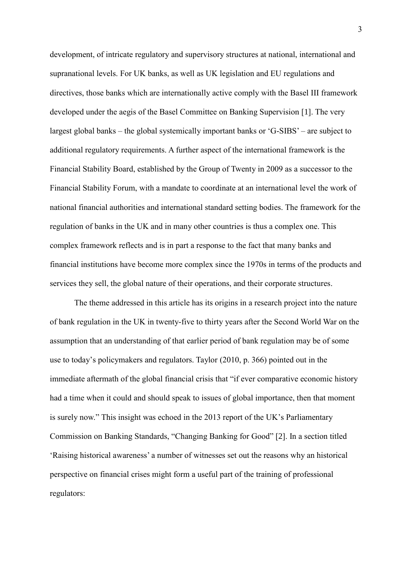development, of intricate regulatory and supervisory structures at national, international and supranational levels. For UK banks, as well as UK legislation and EU regulations and directives, those banks which are internationally active comply with the Basel III framework developed under the aegis of the Basel Committee on Banking Supervision [1]. The very largest global banks – the global systemically important banks or 'G-SIBS' – are subject to additional regulatory requirements. A further aspect of the international framework is the Financial Stability Board, established by the Group of Twenty in 2009 as a successor to the Financial Stability Forum, with a mandate to coordinate at an international level the work of national financial authorities and international standard setting bodies. The framework for the regulation of banks in the UK and in many other countries is thus a complex one. This complex framework reflects and is in part a response to the fact that many banks and financial institutions have become more complex since the 1970s in terms of the products and services they sell, the global nature of their operations, and their corporate structures.

The theme addressed in this article has its origins in a research project into the nature of bank regulation in the UK in twenty-five to thirty years after the Second World War on the assumption that an understanding of that earlier period of bank regulation may be of some use to today's policymakers and regulators. Taylor (2010, p. 366) pointed out in the immediate aftermath of the global financial crisis that "if ever comparative economic history had a time when it could and should speak to issues of global importance, then that moment is surely now." This insight was echoed in the 2013 report of the UK's Parliamentary Commission on Banking Standards, "Changing Banking for Good" [2]. In a section titled 'Raising historical awareness' a number of witnesses set out the reasons why an historical perspective on financial crises might form a useful part of the training of professional regulators: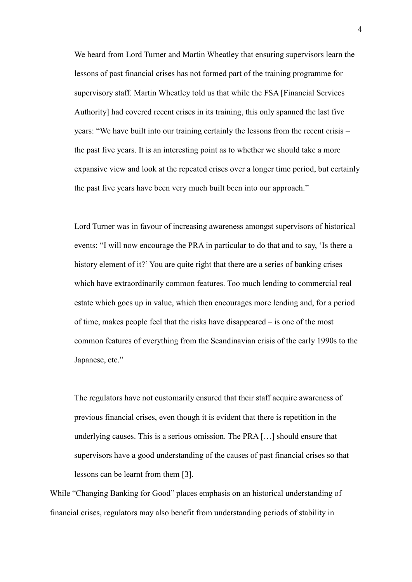We heard from Lord Turner and Martin Wheatley that ensuring supervisors learn the lessons of past financial crises has not formed part of the training programme for supervisory staff. Martin Wheatley told us that while the FSA [Financial Services Authority] had covered recent crises in its training, this only spanned the last five years: "We have built into our training certainly the lessons from the recent crisis – the past five years. It is an interesting point as to whether we should take a more expansive view and look at the repeated crises over a longer time period, but certainly the past five years have been very much built been into our approach."

Lord Turner was in favour of increasing awareness amongst supervisors of historical events: "I will now encourage the PRA in particular to do that and to say, 'Is there a history element of it?' You are quite right that there are a series of banking crises which have extraordinarily common features. Too much lending to commercial real estate which goes up in value, which then encourages more lending and, for a period of time, makes people feel that the risks have disappeared – is one of the most common features of everything from the Scandinavian crisis of the early 1990s to the Japanese, etc."

The regulators have not customarily ensured that their staff acquire awareness of previous financial crises, even though it is evident that there is repetition in the underlying causes. This is a serious omission. The PRA […] should ensure that supervisors have a good understanding of the causes of past financial crises so that lessons can be learnt from them [3].

While "Changing Banking for Good" places emphasis on an historical understanding of financial crises, regulators may also benefit from understanding periods of stability in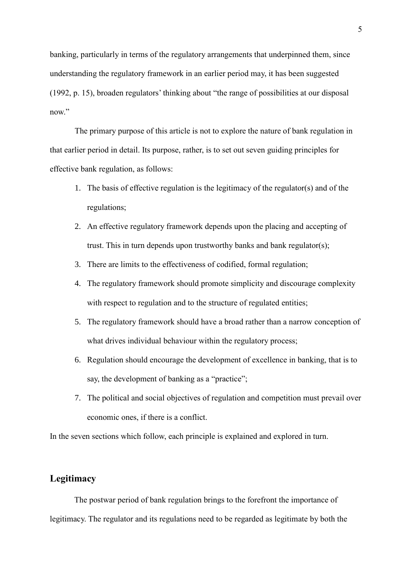banking, particularly in terms of the regulatory arrangements that underpinned them, since understanding the regulatory framework in an earlier period may, it has been suggested (1992, p. 15), broaden regulators' thinking about "the range of possibilities at our disposal now."

The primary purpose of this article is not to explore the nature of bank regulation in that earlier period in detail. Its purpose, rather, is to set out seven guiding principles for effective bank regulation, as follows:

- 1. The basis of effective regulation is the legitimacy of the regulator(s) and of the regulations;
- 2. An effective regulatory framework depends upon the placing and accepting of trust. This in turn depends upon trustworthy banks and bank regulator(s);
- 3. There are limits to the effectiveness of codified, formal regulation;
- 4. The regulatory framework should promote simplicity and discourage complexity with respect to regulation and to the structure of regulated entities;
- 5. The regulatory framework should have a broad rather than a narrow conception of what drives individual behaviour within the regulatory process;
- 6. Regulation should encourage the development of excellence in banking, that is to say, the development of banking as a "practice";
- 7. The political and social objectives of regulation and competition must prevail over economic ones, if there is a conflict.

In the seven sections which follow, each principle is explained and explored in turn.

#### **Legitimacy**

The postwar period of bank regulation brings to the forefront the importance of legitimacy. The regulator and its regulations need to be regarded as legitimate by both the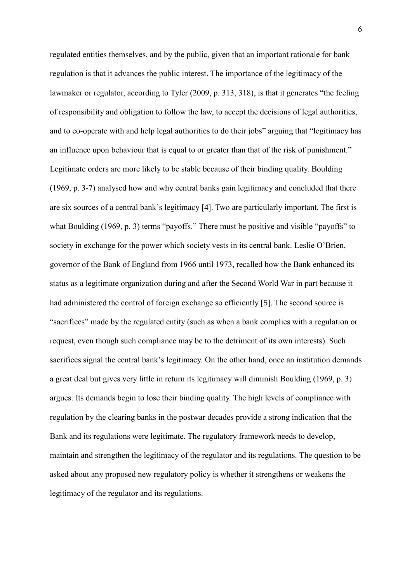regulated entities themselves, and by the public, given that an important rationale for bank regulation is that it advances the public interest. The importance of the legitimacy of the lawmaker or regulator, according to Tyler (2009, p. 313, 318), is that it generates "the feeling of responsibility and obligation to follow the law, to accept the decisions of legal authorities, and to co-operate with and help legal authorities to do their jobs" arguing that "legitimacy has an influence upon behaviour that is equal to or greater than that of the risk of punishment." Legitimate orders are more likely to be stable because of their binding quality. Boulding (1969, p. 3-7) analysed how and why central banks gain legitimacy and concluded that there are six sources of a central bank's legitimacy [4]. Two are particularly important. The first is what Boulding (1969, p. 3) terms "payoffs." There must be positive and visible "payoffs" to society in exchange for the power which society vests in its central bank. Leslie O'Brien, governor of the Bank of England from 1966 until 1973, recalled how the Bank enhanced its status as a legitimate organization during and after the Second World War in part because it had administered the control of foreign exchange so efficiently [5]. The second source is "sacrifices" made by the regulated entity (such as when a bank complies with a regulation or request, even though such compliance may be to the detriment of its own interests). Such sacrifices signal the central bank's legitimacy. On the other hand, once an institution demands a great deal but gives very little in return its legitimacy will diminish Boulding (1969, p. 3) argues. Its demands begin to lose their binding quality. The high levels of compliance with regulation by the clearing banks in the postwar decades provide a strong indication that the Bank and its regulations were legitimate. The regulatory framework needs to develop, maintain and strengthen the legitimacy of the regulator and its regulations. The question to be asked about any proposed new regulatory policy is whether it strengthens or weakens the legitimacy of the regulator and its regulations.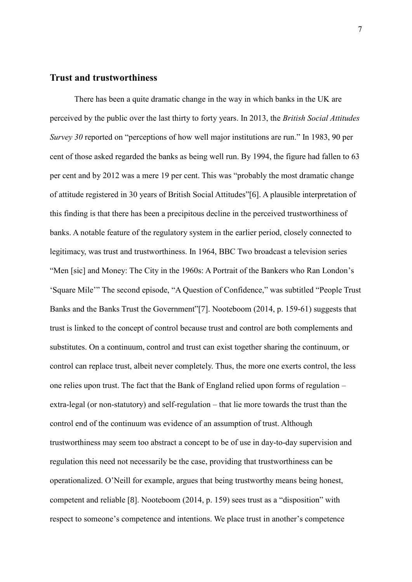#### **Trust and trustworthiness**

There has been a quite dramatic change in the way in which banks in the UK are perceived by the public over the last thirty to forty years. In 2013, the *British Social Attitudes Survey 30* reported on "perceptions of how well major institutions are run." In 1983, 90 per cent of those asked regarded the banks as being well run. By 1994, the figure had fallen to 63 per cent and by 2012 was a mere 19 per cent. This was "probably the most dramatic change of attitude registered in 30 years of British Social Attitudes"[6]. A plausible interpretation of this finding is that there has been a precipitous decline in the perceived trustworthiness of banks. A notable feature of the regulatory system in the earlier period, closely connected to legitimacy, was trust and trustworthiness. In 1964, BBC Two broadcast a television series "Men [sic] and Money: The City in the 1960s: A Portrait of the Bankers who Ran London's 'Square Mile'" The second episode, "A Question of Confidence," was subtitled "People Trust Banks and the Banks Trust the Government"[7]. Nooteboom (2014, p. 159-61) suggests that trust is linked to the concept of control because trust and control are both complements and substitutes. On a continuum, control and trust can exist together sharing the continuum, or control can replace trust, albeit never completely. Thus, the more one exerts control, the less one relies upon trust. The fact that the Bank of England relied upon forms of regulation – extra-legal (or non-statutory) and self-regulation – that lie more towards the trust than the control end of the continuum was evidence of an assumption of trust. Although trustworthiness may seem too abstract a concept to be of use in day-to-day supervision and regulation this need not necessarily be the case, providing that trustworthiness can be operationalized. O'Neill for example, argues that being trustworthy means being honest, competent and reliable [8]. Nooteboom (2014, p. 159) sees trust as a "disposition" with respect to someone's competence and intentions. We place trust in another's competence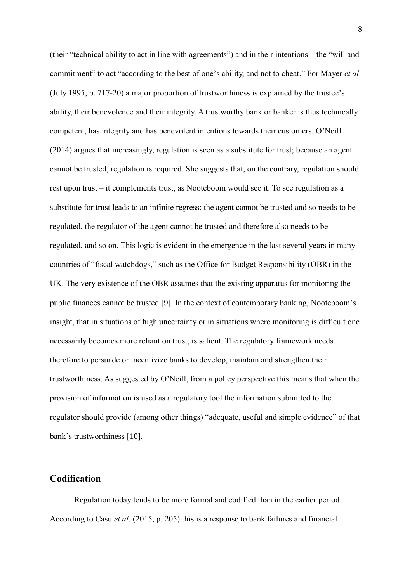(their "technical ability to act in line with agreements") and in their intentions – the "will and commitment" to act "according to the best of one's ability, and not to cheat." For Mayer *et al*. (July 1995, p. 717-20) a major proportion of trustworthiness is explained by the trustee's ability, their benevolence and their integrity. A trustworthy bank or banker is thus technically competent, has integrity and has benevolent intentions towards their customers. O'Neill (2014) argues that increasingly, regulation is seen as a substitute for trust; because an agent cannot be trusted, regulation is required. She suggests that, on the contrary, regulation should rest upon trust – it complements trust, as Nooteboom would see it. To see regulation as a substitute for trust leads to an infinite regress: the agent cannot be trusted and so needs to be regulated, the regulator of the agent cannot be trusted and therefore also needs to be regulated, and so on. This logic is evident in the emergence in the last several years in many countries of "fiscal watchdogs," such as the Office for Budget Responsibility (OBR) in the UK. The very existence of the OBR assumes that the existing apparatus for monitoring the public finances cannot be trusted [9]. In the context of contemporary banking, Nooteboom's insight, that in situations of high uncertainty or in situations where monitoring is difficult one necessarily becomes more reliant on trust, is salient. The regulatory framework needs therefore to persuade or incentivize banks to develop, maintain and strengthen their trustworthiness. As suggested by O'Neill, from a policy perspective this means that when the provision of information is used as a regulatory tool the information submitted to the regulator should provide (among other things) "adequate, useful and simple evidence" of that bank's trustworthiness [10].

#### **Codification**

Regulation today tends to be more formal and codified than in the earlier period. According to Casu *et al*. (2015, p. 205) this is a response to bank failures and financial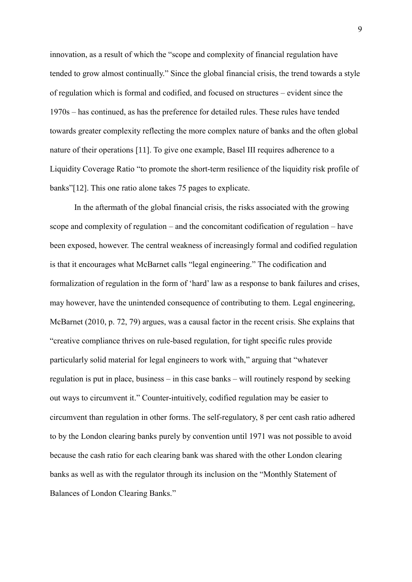innovation, as a result of which the "scope and complexity of financial regulation have tended to grow almost continually." Since the global financial crisis, the trend towards a style of regulation which is formal and codified, and focused on structures – evident since the 1970s – has continued, as has the preference for detailed rules. These rules have tended towards greater complexity reflecting the more complex nature of banks and the often global nature of their operations [11]. To give one example, Basel III requires adherence to a Liquidity Coverage Ratio "to promote the short-term resilience of the liquidity risk profile of banks"[12]. This one ratio alone takes 75 pages to explicate.

In the aftermath of the global financial crisis, the risks associated with the growing scope and complexity of regulation – and the concomitant codification of regulation – have been exposed, however. The central weakness of increasingly formal and codified regulation is that it encourages what McBarnet calls "legal engineering." The codification and formalization of regulation in the form of 'hard' law as a response to bank failures and crises, may however, have the unintended consequence of contributing to them. Legal engineering, McBarnet (2010, p. 72, 79) argues, was a causal factor in the recent crisis. She explains that "creative compliance thrives on rule-based regulation, for tight specific rules provide particularly solid material for legal engineers to work with," arguing that "whatever regulation is put in place, business – in this case banks – will routinely respond by seeking out ways to circumvent it." Counter-intuitively, codified regulation may be easier to circumvent than regulation in other forms. The self-regulatory, 8 per cent cash ratio adhered to by the London clearing banks purely by convention until 1971 was not possible to avoid because the cash ratio for each clearing bank was shared with the other London clearing banks as well as with the regulator through its inclusion on the "Monthly Statement of Balances of London Clearing Banks."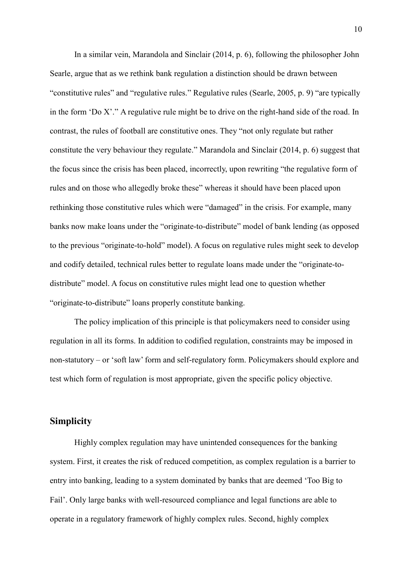In a similar vein, Marandola and Sinclair (2014, p. 6), following the philosopher John Searle, argue that as we rethink bank regulation a distinction should be drawn between "constitutive rules" and "regulative rules." Regulative rules (Searle, 2005, p. 9) "are typically in the form 'Do X'." A regulative rule might be to drive on the right-hand side of the road. In contrast, the rules of football are constitutive ones. They "not only regulate but rather constitute the very behaviour they regulate." Marandola and Sinclair (2014, p. 6) suggest that the focus since the crisis has been placed, incorrectly, upon rewriting "the regulative form of rules and on those who allegedly broke these" whereas it should have been placed upon rethinking those constitutive rules which were "damaged" in the crisis. For example, many banks now make loans under the "originate-to-distribute" model of bank lending (as opposed to the previous "originate-to-hold" model). A focus on regulative rules might seek to develop and codify detailed, technical rules better to regulate loans made under the "originate-todistribute" model. A focus on constitutive rules might lead one to question whether "originate-to-distribute" loans properly constitute banking.

The policy implication of this principle is that policymakers need to consider using regulation in all its forms. In addition to codified regulation, constraints may be imposed in non-statutory – or 'soft law' form and self-regulatory form. Policymakers should explore and test which form of regulation is most appropriate, given the specific policy objective.

#### **Simplicity**

Highly complex regulation may have unintended consequences for the banking system. First, it creates the risk of reduced competition, as complex regulation is a barrier to entry into banking, leading to a system dominated by banks that are deemed 'Too Big to Fail'. Only large banks with well-resourced compliance and legal functions are able to operate in a regulatory framework of highly complex rules. Second, highly complex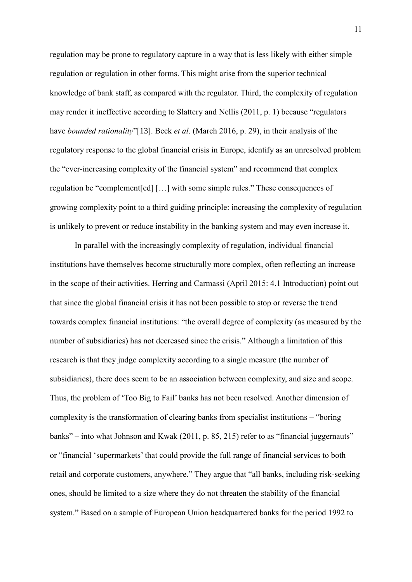regulation may be prone to regulatory capture in a way that is less likely with either simple regulation or regulation in other forms. This might arise from the superior technical knowledge of bank staff, as compared with the regulator. Third, the complexity of regulation may render it ineffective according to Slattery and Nellis (2011, p. 1) because "regulators have *bounded rationality*"[13]. Beck *et al*. (March 2016, p. 29), in their analysis of the regulatory response to the global financial crisis in Europe, identify as an unresolved problem the "ever-increasing complexity of the financial system" and recommend that complex regulation be "complement[ed] […] with some simple rules." These consequences of growing complexity point to a third guiding principle: increasing the complexity of regulation is unlikely to prevent or reduce instability in the banking system and may even increase it.

In parallel with the increasingly complexity of regulation, individual financial institutions have themselves become structurally more complex, often reflecting an increase in the scope of their activities. Herring and Carmassi (April 2015: 4.1 Introduction) point out that since the global financial crisis it has not been possible to stop or reverse the trend towards complex financial institutions: "the overall degree of complexity (as measured by the number of subsidiaries) has not decreased since the crisis." Although a limitation of this research is that they judge complexity according to a single measure (the number of subsidiaries), there does seem to be an association between complexity, and size and scope. Thus, the problem of 'Too Big to Fail' banks has not been resolved. Another dimension of complexity is the transformation of clearing banks from specialist institutions – "boring banks" – into what Johnson and Kwak (2011, p. 85, 215) refer to as "financial juggernauts" or "financial 'supermarkets' that could provide the full range of financial services to both retail and corporate customers, anywhere." They argue that "all banks, including risk-seeking ones, should be limited to a size where they do not threaten the stability of the financial system." Based on a sample of European Union headquartered banks for the period 1992 to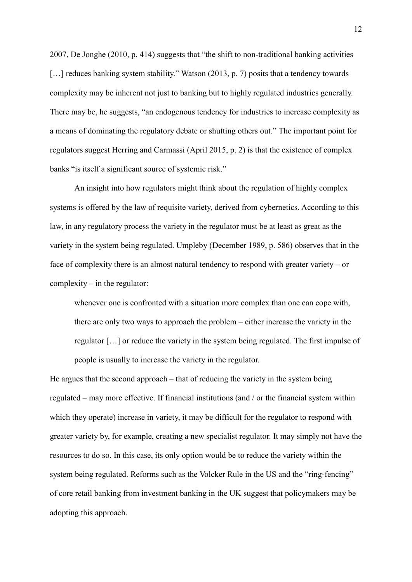2007, De Jonghe (2010, p. 414) suggests that "the shift to non-traditional banking activities [...] reduces banking system stability." Watson (2013, p. 7) posits that a tendency towards complexity may be inherent not just to banking but to highly regulated industries generally. There may be, he suggests, "an endogenous tendency for industries to increase complexity as a means of dominating the regulatory debate or shutting others out." The important point for regulators suggest Herring and Carmassi (April 2015, p. 2) is that the existence of complex banks "is itself a significant source of systemic risk."

An insight into how regulators might think about the regulation of highly complex systems is offered by the law of requisite variety, derived from cybernetics. According to this law, in any regulatory process the variety in the regulator must be at least as great as the variety in the system being regulated. Umpleby (December 1989, p. 586) observes that in the face of complexity there is an almost natural tendency to respond with greater variety – or complexity – in the regulator:

whenever one is confronted with a situation more complex than one can cope with, there are only two ways to approach the problem – either increase the variety in the regulator […] or reduce the variety in the system being regulated. The first impulse of people is usually to increase the variety in the regulator.

He argues that the second approach – that of reducing the variety in the system being regulated – may more effective. If financial institutions (and / or the financial system within which they operate) increase in variety, it may be difficult for the regulator to respond with greater variety by, for example, creating a new specialist regulator. It may simply not have the resources to do so. In this case, its only option would be to reduce the variety within the system being regulated. Reforms such as the Volcker Rule in the US and the "ring-fencing" of core retail banking from investment banking in the UK suggest that policymakers may be adopting this approach.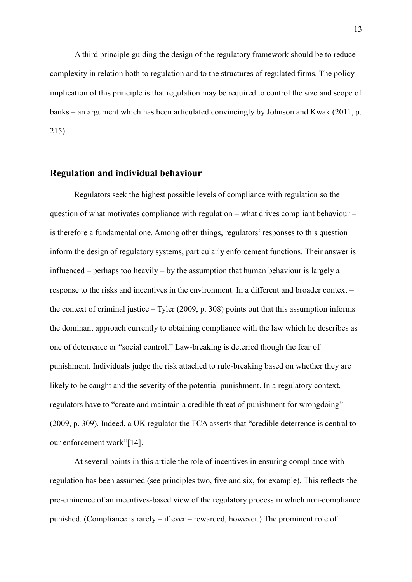A third principle guiding the design of the regulatory framework should be to reduce complexity in relation both to regulation and to the structures of regulated firms. The policy implication of this principle is that regulation may be required to control the size and scope of banks – an argument which has been articulated convincingly by Johnson and Kwak (2011, p. 215).

#### **Regulation and individual behaviour**

Regulators seek the highest possible levels of compliance with regulation so the question of what motivates compliance with regulation – what drives compliant behaviour – is therefore a fundamental one. Among other things, regulators' responses to this question inform the design of regulatory systems, particularly enforcement functions. Their answer is influenced – perhaps too heavily – by the assumption that human behaviour is largely a response to the risks and incentives in the environment. In a different and broader context – the context of criminal justice – Tyler (2009, p. 308) points out that this assumption informs the dominant approach currently to obtaining compliance with the law which he describes as one of deterrence or "social control." Law-breaking is deterred though the fear of punishment. Individuals judge the risk attached to rule-breaking based on whether they are likely to be caught and the severity of the potential punishment. In a regulatory context, regulators have to "create and maintain a credible threat of punishment for wrongdoing" (2009, p. 309). Indeed, a UK regulator the FCA asserts that "credible deterrence is central to our enforcement work"[14].

At several points in this article the role of incentives in ensuring compliance with regulation has been assumed (see principles two, five and six, for example). This reflects the pre-eminence of an incentives-based view of the regulatory process in which non-compliance punished. (Compliance is rarely – if ever – rewarded, however.) The prominent role of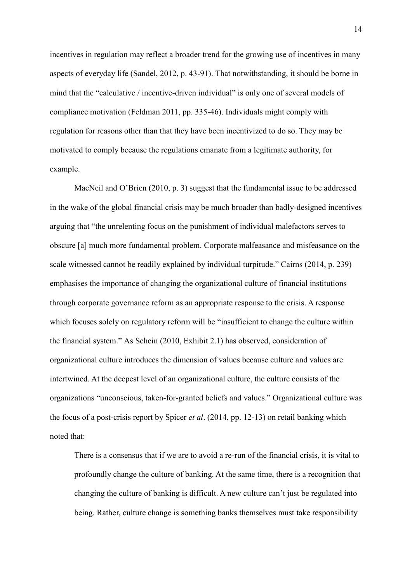incentives in regulation may reflect a broader trend for the growing use of incentives in many aspects of everyday life (Sandel, 2012, p. 43-91). That notwithstanding, it should be borne in mind that the "calculative / incentive-driven individual" is only one of several models of compliance motivation (Feldman 2011, pp. 335-46). Individuals might comply with regulation for reasons other than that they have been incentivized to do so. They may be motivated to comply because the regulations emanate from a legitimate authority, for example.

MacNeil and O'Brien (2010, p. 3) suggest that the fundamental issue to be addressed in the wake of the global financial crisis may be much broader than badly-designed incentives arguing that "the unrelenting focus on the punishment of individual malefactors serves to obscure [a] much more fundamental problem. Corporate malfeasance and misfeasance on the scale witnessed cannot be readily explained by individual turpitude." Cairns (2014, p. 239) emphasises the importance of changing the organizational culture of financial institutions through corporate governance reform as an appropriate response to the crisis. A response which focuses solely on regulatory reform will be "insufficient to change the culture within the financial system." As Schein (2010, Exhibit 2.1) has observed, consideration of organizational culture introduces the dimension of values because culture and values are intertwined. At the deepest level of an organizational culture, the culture consists of the organizations "unconscious, taken-for-granted beliefs and values." Organizational culture was the focus of a post-crisis report by Spicer *et al*. (2014, pp. 12-13) on retail banking which noted that:

There is a consensus that if we are to avoid a re-run of the financial crisis, it is vital to profoundly change the culture of banking. At the same time, there is a recognition that changing the culture of banking is difficult. A new culture can't just be regulated into being. Rather, culture change is something banks themselves must take responsibility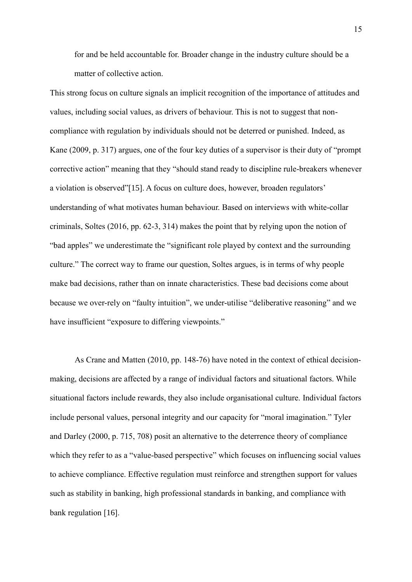for and be held accountable for. Broader change in the industry culture should be a matter of collective action.

This strong focus on culture signals an implicit recognition of the importance of attitudes and values, including social values, as drivers of behaviour. This is not to suggest that noncompliance with regulation by individuals should not be deterred or punished. Indeed, as Kane (2009, p. 317) argues, one of the four key duties of a supervisor is their duty of "prompt corrective action" meaning that they "should stand ready to discipline rule-breakers whenever a violation is observed"[15]. A focus on culture does, however, broaden regulators' understanding of what motivates human behaviour. Based on interviews with white-collar criminals, Soltes (2016, pp. 62-3, 314) makes the point that by relying upon the notion of "bad apples" we underestimate the "significant role played by context and the surrounding culture." The correct way to frame our question, Soltes argues, is in terms of why people make bad decisions, rather than on innate characteristics. These bad decisions come about because we over-rely on "faulty intuition", we under-utilise "deliberative reasoning" and we have insufficient "exposure to differing viewpoints."

As Crane and Matten (2010, pp. 148-76) have noted in the context of ethical decisionmaking, decisions are affected by a range of individual factors and situational factors. While situational factors include rewards, they also include organisational culture. Individual factors include personal values, personal integrity and our capacity for "moral imagination." Tyler and Darley (2000, p. 715, 708) posit an alternative to the deterrence theory of compliance which they refer to as a "value-based perspective" which focuses on influencing social values to achieve compliance. Effective regulation must reinforce and strengthen support for values such as stability in banking, high professional standards in banking, and compliance with bank regulation [16].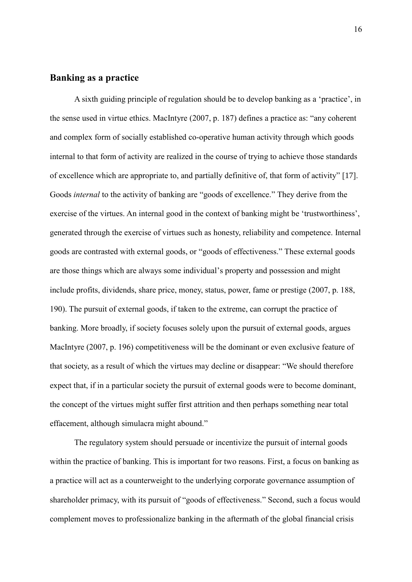#### **Banking as a practice**

A sixth guiding principle of regulation should be to develop banking as a 'practice', in the sense used in virtue ethics. MacIntyre (2007, p. 187) defines a practice as: "any coherent and complex form of socially established co-operative human activity through which goods internal to that form of activity are realized in the course of trying to achieve those standards of excellence which are appropriate to, and partially definitive of, that form of activity" [17]. Goods *internal* to the activity of banking are "goods of excellence." They derive from the exercise of the virtues. An internal good in the context of banking might be 'trustworthiness', generated through the exercise of virtues such as honesty, reliability and competence. Internal goods are contrasted with external goods, or "goods of effectiveness." These external goods are those things which are always some individual's property and possession and might include profits, dividends, share price, money, status, power, fame or prestige (2007, p. 188, 190). The pursuit of external goods, if taken to the extreme, can corrupt the practice of banking. More broadly, if society focuses solely upon the pursuit of external goods, argues MacIntyre (2007, p. 196) competitiveness will be the dominant or even exclusive feature of that society, as a result of which the virtues may decline or disappear: "We should therefore expect that, if in a particular society the pursuit of external goods were to become dominant, the concept of the virtues might suffer first attrition and then perhaps something near total effacement, although simulacra might abound."

The regulatory system should persuade or incentivize the pursuit of internal goods within the practice of banking. This is important for two reasons. First, a focus on banking as a practice will act as a counterweight to the underlying corporate governance assumption of shareholder primacy, with its pursuit of "goods of effectiveness." Second, such a focus would complement moves to professionalize banking in the aftermath of the global financial crisis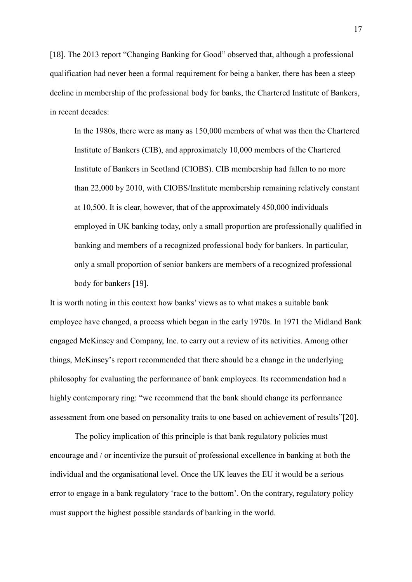[18]. The 2013 report "Changing Banking for Good" observed that, although a professional qualification had never been a formal requirement for being a banker, there has been a steep decline in membership of the professional body for banks, the Chartered Institute of Bankers, in recent decades:

In the 1980s, there were as many as 150,000 members of what was then the Chartered Institute of Bankers (CIB), and approximately 10,000 members of the Chartered Institute of Bankers in Scotland (CIOBS). CIB membership had fallen to no more than 22,000 by 2010, with CIOBS/Institute membership remaining relatively constant at 10,500. It is clear, however, that of the approximately 450,000 individuals employed in UK banking today, only a small proportion are professionally qualified in banking and members of a recognized professional body for bankers. In particular, only a small proportion of senior bankers are members of a recognized professional body for bankers [19].

It is worth noting in this context how banks' views as to what makes a suitable bank employee have changed, a process which began in the early 1970s. In 1971 the Midland Bank engaged McKinsey and Company, Inc. to carry out a review of its activities. Among other things, McKinsey's report recommended that there should be a change in the underlying philosophy for evaluating the performance of bank employees. Its recommendation had a highly contemporary ring: "we recommend that the bank should change its performance assessment from one based on personality traits to one based on achievement of results"[20].

The policy implication of this principle is that bank regulatory policies must encourage and / or incentivize the pursuit of professional excellence in banking at both the individual and the organisational level. Once the UK leaves the EU it would be a serious error to engage in a bank regulatory 'race to the bottom'. On the contrary, regulatory policy must support the highest possible standards of banking in the world.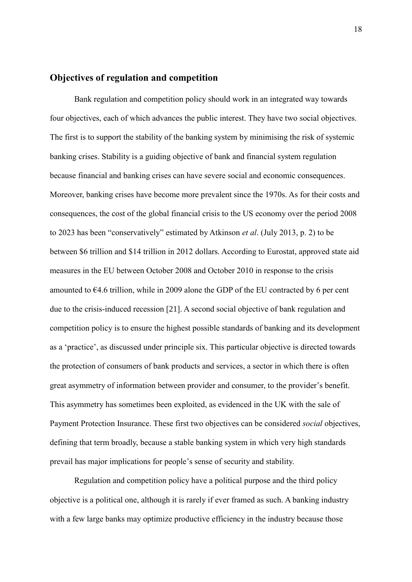#### **Objectives of regulation and competition**

Bank regulation and competition policy should work in an integrated way towards four objectives, each of which advances the public interest. They have two social objectives. The first is to support the stability of the banking system by minimising the risk of systemic banking crises. Stability is a guiding objective of bank and financial system regulation because financial and banking crises can have severe social and economic consequences. Moreover, banking crises have become more prevalent since the 1970s. As for their costs and consequences, the cost of the global financial crisis to the US economy over the period 2008 to 2023 has been "conservatively" estimated by Atkinson *et al*. (July 2013, p. 2) to be between \$6 trillion and \$14 trillion in 2012 dollars. According to Eurostat, approved state aid measures in the EU between October 2008 and October 2010 in response to the crisis amounted to  $64.6$  trillion, while in 2009 alone the GDP of the EU contracted by 6 per cent due to the crisis-induced recession [21]. A second social objective of bank regulation and competition policy is to ensure the highest possible standards of banking and its development as a 'practice', as discussed under principle six. This particular objective is directed towards the protection of consumers of bank products and services, a sector in which there is often great asymmetry of information between provider and consumer, to the provider's benefit. This asymmetry has sometimes been exploited, as evidenced in the UK with the sale of Payment Protection Insurance. These first two objectives can be considered *social* objectives, defining that term broadly, because a stable banking system in which very high standards prevail has major implications for people's sense of security and stability.

Regulation and competition policy have a political purpose and the third policy objective is a political one, although it is rarely if ever framed as such. A banking industry with a few large banks may optimize productive efficiency in the industry because those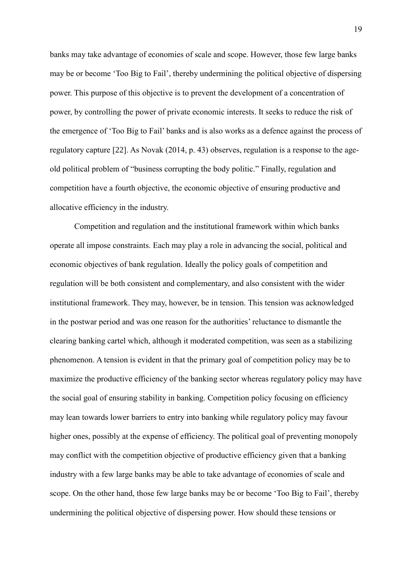banks may take advantage of economies of scale and scope. However, those few large banks may be or become 'Too Big to Fail', thereby undermining the political objective of dispersing power. This purpose of this objective is to prevent the development of a concentration of power, by controlling the power of private economic interests. It seeks to reduce the risk of the emergence of 'Too Big to Fail' banks and is also works as a defence against the process of regulatory capture [22]. As Novak (2014, p. 43) observes, regulation is a response to the ageold political problem of "business corrupting the body politic." Finally, regulation and competition have a fourth objective, the economic objective of ensuring productive and allocative efficiency in the industry.

Competition and regulation and the institutional framework within which banks operate all impose constraints. Each may play a role in advancing the social, political and economic objectives of bank regulation. Ideally the policy goals of competition and regulation will be both consistent and complementary, and also consistent with the wider institutional framework. They may, however, be in tension. This tension was acknowledged in the postwar period and was one reason for the authorities' reluctance to dismantle the clearing banking cartel which, although it moderated competition, was seen as a stabilizing phenomenon. A tension is evident in that the primary goal of competition policy may be to maximize the productive efficiency of the banking sector whereas regulatory policy may have the social goal of ensuring stability in banking. Competition policy focusing on efficiency may lean towards lower barriers to entry into banking while regulatory policy may favour higher ones, possibly at the expense of efficiency. The political goal of preventing monopoly may conflict with the competition objective of productive efficiency given that a banking industry with a few large banks may be able to take advantage of economies of scale and scope. On the other hand, those few large banks may be or become 'Too Big to Fail', thereby undermining the political objective of dispersing power. How should these tensions or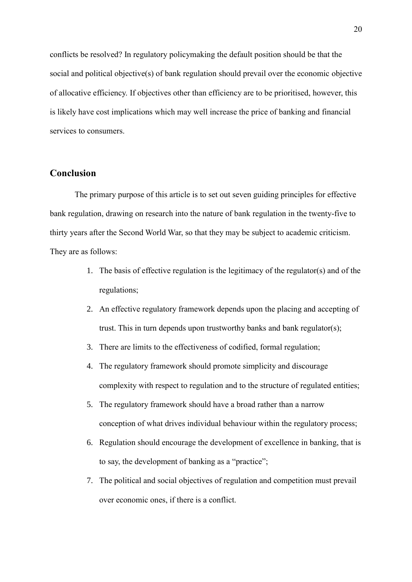conflicts be resolved? In regulatory policymaking the default position should be that the social and political objective(s) of bank regulation should prevail over the economic objective of allocative efficiency. If objectives other than efficiency are to be prioritised, however, this is likely have cost implications which may well increase the price of banking and financial services to consumers.

#### **Conclusion**

The primary purpose of this article is to set out seven guiding principles for effective bank regulation, drawing on research into the nature of bank regulation in the twenty-five to thirty years after the Second World War, so that they may be subject to academic criticism. They are as follows:

- 1. The basis of effective regulation is the legitimacy of the regulator(s) and of the regulations;
- 2. An effective regulatory framework depends upon the placing and accepting of trust. This in turn depends upon trustworthy banks and bank regulator(s);
- 3. There are limits to the effectiveness of codified, formal regulation;
- 4. The regulatory framework should promote simplicity and discourage complexity with respect to regulation and to the structure of regulated entities;
- 5. The regulatory framework should have a broad rather than a narrow conception of what drives individual behaviour within the regulatory process;
- 6. Regulation should encourage the development of excellence in banking, that is to say, the development of banking as a "practice";
- 7. The political and social objectives of regulation and competition must prevail over economic ones, if there is a conflict.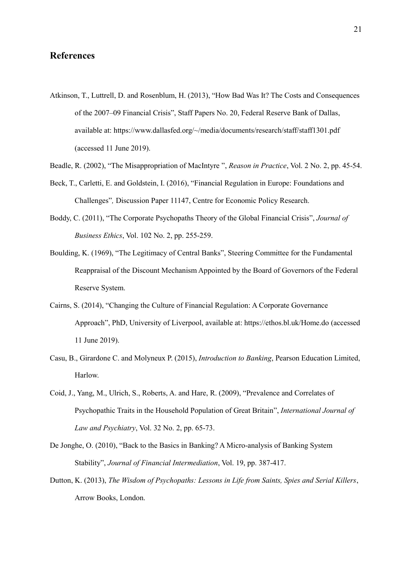#### **References**

- Atkinson, T., Luttrell, D. and Rosenblum, H. (2013), "How Bad Was It? The Costs and Consequences of the 2007–09 Financial Crisis", Staff Papers No. 20, Federal Reserve Bank of Dallas, available at: https://www.dallasfed.org/~/media/documents/research/staff/staff1301.pdf (accessed 11 June 2019).
- Beadle, R. (2002), "The Misappropriation of MacIntyre ", *Reason in Practice*, Vol. 2 No. 2, pp. 45-54.
- Beck, T., Carletti, E. and Goldstein, I. (2016), "Financial Regulation in Europe: Foundations and Challenges"*,* Discussion Paper 11147, Centre for Economic Policy Research.
- Boddy, C. (2011), "The Corporate Psychopaths Theory of the Global Financial Crisis", *Journal of Business Ethics*, Vol. 102 No. 2, pp. 255-259.
- Boulding, K. (1969), "The Legitimacy of Central Banks", Steering Committee for the Fundamental Reappraisal of the Discount Mechanism Appointed by the Board of Governors of the Federal Reserve System.
- Cairns, S. (2014), "Changing the Culture of Financial Regulation: A Corporate Governance Approach", PhD, University of Liverpool, available at: https://ethos.bl.uk/Home.do (accessed 11 June 2019).
- Casu, B., Girardone C. and Molyneux P. (2015), *Introduction to Banking*, Pearson Education Limited, Harlow.
- Coid, J., Yang, M., Ulrich, S., Roberts, A. and Hare, R. (2009), "Prevalence and Correlates of Psychopathic Traits in the Household Population of Great Britain", *International Journal of Law and Psychiatry*, Vol. 32 No. 2, pp. 65-73.
- De Jonghe, O. (2010), "Back to the Basics in Banking? A Micro-analysis of Banking System Stability", *Journal of Financial Intermediation*, Vol. 19, pp. 387-417.
- Dutton, K. (2013), *The Wisdom of Psychopaths: Lessons in Life from Saints, Spies and Serial Killers*, Arrow Books, London.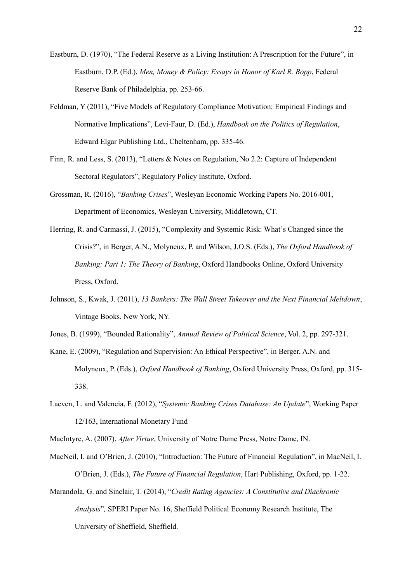- Eastburn, D. (1970), "The Federal Reserve as a Living Institution: A Prescription for the Future", in Eastburn, D.P. (Ed.), *Men, Money & Policy: Essays in Honor of Karl R. Bopp*, Federal Reserve Bank of Philadelphia, pp. 253-66.
- Feldman, Y (2011), "Five Models of Regulatory Compliance Motivation: Empirical Findings and Normative Implications", Levi-Faur, D. (Ed.), *Handbook on the Politics of Regulation*, Edward Elgar Publishing Ltd., Cheltenham, pp. 335-46.
- Finn, R. and Less, S. (2013), "Letters & Notes on Regulation, No 2.2: Capture of Independent Sectoral Regulators", Regulatory Policy Institute, Oxford.
- Grossman, R. (2016), "*Banking Crises*", Wesleyan Economic Working Papers No. 2016-001, Department of Economics, Wesleyan University, Middletown, CT.
- Herring, R. and Carmassi, J. (2015), "Complexity and Systemic Risk: What's Changed since the Crisis?", in Berger, A.N., Molyneux, P. and Wilson, J.O.S. (Eds.), *The Oxford Handbook of Banking: Part 1: The Theory of Banking*, Oxford Handbooks Online, Oxford University Press, Oxford.
- Johnson, S., Kwak, J. (2011), *13 Bankers: The Wall Street Takeover and the Next Financial Meltdown*, Vintage Books, New York, NY.
- Jones, B. (1999), "Bounded Rationality", *Annual Review of Political Science*, Vol. 2, pp. 297-321.
- Kane, E. (2009), "Regulation and Supervision: An Ethical Perspective", in Berger, A.N. and Molyneux, P. (Eds.), *Oxford Handbook of Banking*, Oxford University Press, Oxford, pp. 315- 338.
- Laeven, L. and Valencia, F. (2012), "*Systemic Banking Crises Database: An Update*", Working Paper 12/163, International Monetary Fund
- MacIntyre, A. (2007), *After Virtue*, University of Notre Dame Press, Notre Dame, IN.
- MacNeil, I. and O'Brien, J. (2010), "Introduction: The Future of Financial Regulation", in MacNeil, I. O'Brien, J. (Eds.), *The Future of Financial Regulation*, Hart Publishing, Oxford, pp. 1-22.
- Marandola, G. and Sinclair, T. (2014), "*Credit Rating Agencies: A Constitutive and Diachronic Analysis*"*,* SPERI Paper No. 16, Sheffield Political Economy Research Institute, The University of Sheffield, Sheffield.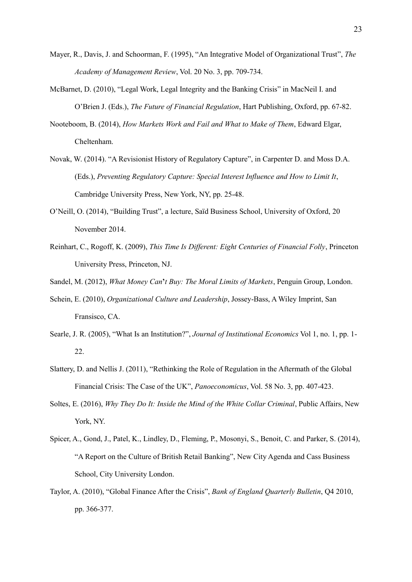- Mayer, R., Davis, J. and Schoorman, F. (1995), "An Integrative Model of Organizational Trust", *The Academy of Management Review*, Vol. 20 No. 3, pp. 709-734.
- McBarnet, D. (2010), "Legal Work, Legal Integrity and the Banking Crisis" in MacNeil I. and O'Brien J. (Eds.), *The Future of Financial Regulation*, Hart Publishing, Oxford, pp. 67-82.
- Nooteboom, B. (2014), *How Markets Work and Fail and What to Make of Them*, Edward Elgar, Cheltenham.
- Novak, W. (2014). "A Revisionist History of Regulatory Capture", in Carpenter D. and Moss D.A. (Eds.), *Preventing Regulatory Capture: Special Interest Influence and How to Limit It*, Cambridge University Press, New York, NY, pp. 25-48.
- O'Neill, O. (2014), "Building Trust", a lecture, Saïd Business School, University of Oxford, 20 November 2014.
- Reinhart, C., Rogoff, K. (2009), *This Time Is Different: Eight Centuries of Financial Folly*, Princeton University Press, Princeton, NJ.
- Sandel, M. (2012), *What Money Can***'***t Buy: The Moral Limits of Markets*, Penguin Group, London.
- Schein, E. (2010), *Organizational Culture and Leadership*, Jossey-Bass, A Wiley Imprint, San Fransisco, CA.
- Searle, J. R. (2005), "What Is an Institution?", *Journal of Institutional Economics* Vol 1, no. 1, pp. 1- 22.
- Slattery, D. and Nellis J. (2011), "Rethinking the Role of Regulation in the Aftermath of the Global Financial Crisis: The Case of the UK", *Panoeconomicus*, Vol. 58 No. 3, pp. 407-423.
- Soltes, E. (2016), *Why They Do It: Inside the Mind of the White Collar Criminal*, Public Affairs, New York, NY.
- Spicer, A., Gond, J., Patel, K., Lindley, D., Fleming, P., Mosonyi, S., Benoit, C. and Parker, S. (2014), "A Report on the Culture of British Retail Banking", New City Agenda and Cass Business School, City University London.
- Taylor, A. (2010), "Global Finance After the Crisis", *Bank of England Quarterly Bulletin*, Q4 2010, pp. 366-377.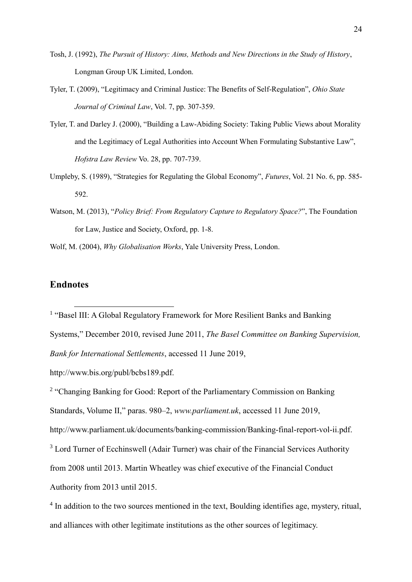- Tosh, J. (1992), *The Pursuit of History: Aims, Methods and New Directions in the Study of History*, Longman Group UK Limited, London.
- Tyler, T. (2009), "Legitimacy and Criminal Justice: The Benefits of Self-Regulation", *Ohio State Journal of Criminal Law*, Vol. 7, pp. 307-359.
- Tyler, T. and Darley J. (2000), "Building a Law-Abiding Society: Taking Public Views about Morality and the Legitimacy of Legal Authorities into Account When Formulating Substantive Law", *Hofstra Law Review* Vo. 28, pp. 707-739.
- Umpleby, S. (1989), "Strategies for Regulating the Global Economy", *Futures*, Vol. 21 No. 6, pp. 585- 592.
- Watson, M. (2013), "*Policy Brief: From Regulatory Capture to Regulatory Space?*", The Foundation for Law, Justice and Society, Oxford, pp. 1-8.
- Wolf, M. (2004), *Why Globalisation Works*, Yale University Press, London.

#### **Endnotes**

 $\overline{a}$ 

<sup>1</sup> "Basel III: A Global Regulatory Framework for More Resilient Banks and Banking Systems," December 2010, revised June 2011, *The Basel Committee on Banking Supervision, Bank for International Settlements*, accessed 11 June 2019,

http://www.bis.org/publ/bcbs189.pdf.

<sup>2</sup> "Changing Banking for Good: Report of the Parliamentary Commission on Banking Standards, Volume II," paras. 980–2, *www.parliament.uk*, accessed 11 June 2019,

http://www.parliament.uk/documents/banking-commission/Banking-final-report-vol-ii.pdf.

<sup>3</sup> Lord Turner of Ecchinswell (Adair Turner) was chair of the Financial Services Authority

from 2008 until 2013. Martin Wheatley was chief executive of the Financial Conduct

Authority from 2013 until 2015.

<sup>4</sup> In addition to the two sources mentioned in the text, Boulding identifies age, mystery, ritual, and alliances with other legitimate institutions as the other sources of legitimacy.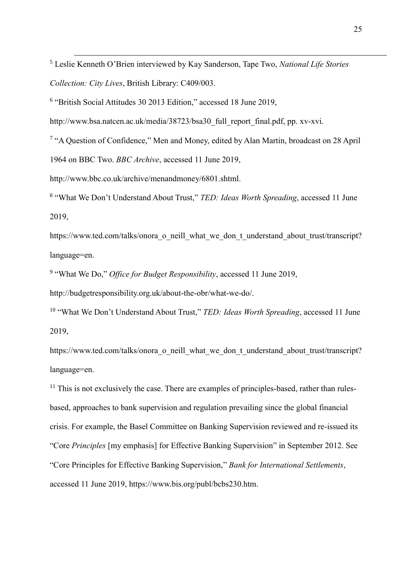<sup>5</sup> Leslie Kenneth O'Brien interviewed by Kay Sanderson, Tape Two, *National Life Stories Collection: City Lives*, British Library: C409/003.

6 "British Social Attitudes 30 2013 Edition," accessed 18 June 2019,

http://www.bsa.natcen.ac.uk/media/38723/bsa30\_full\_report\_final.pdf, pp. xv-xvi.

<sup>7</sup> "A Question of Confidence," Men and Money, edited by Alan Martin, broadcast on 28 April

1964 on BBC Two. *BBC Archive*, accessed 11 June 2019,

 $\overline{a}$ 

http://www.bbc.co.uk/archive/menandmoney/6801.shtml.

8 "What We Don't Understand About Trust," *TED: Ideas Worth Spreading*, accessed 11 June 2019,

https://www.ted.com/talks/onora\_o\_neill\_what\_we\_don\_t\_understand\_about\_trust/transcript? language=en.

9 "What We Do," *Office for Budget Responsibility*, accessed 11 June 2019,

http://budgetresponsibility.org.uk/about-the-obr/what-we-do/.

<sup>10</sup> "What We Don't Understand About Trust," *TED: Ideas Worth Spreading*, accessed 11 June 2019,

https://www.ted.com/talks/onora\_o\_neill\_what\_we\_don\_t\_understand\_about\_trust/transcript? language=en.

 $11$  This is not exclusively the case. There are examples of principles-based, rather than rulesbased, approaches to bank supervision and regulation prevailing since the global financial crisis. For example, the Basel Committee on Banking Supervision reviewed and re-issued its "Core *Principles* [my emphasis] for Effective Banking Supervision" in September 2012. See "Core Principles for Effective Banking Supervision," *Bank for International Settlements*, accessed 11 June 2019, https://www.bis.org/publ/bcbs230.htm.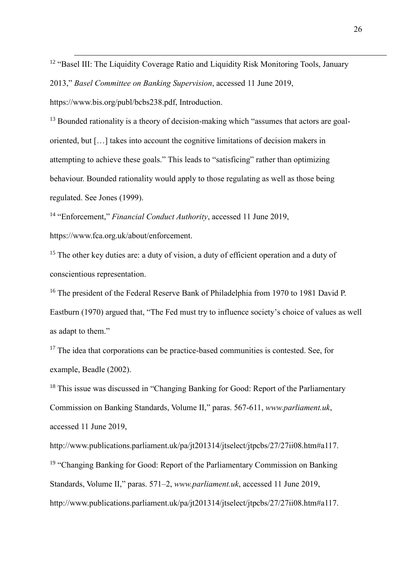<sup>12</sup> "Basel III: The Liquidity Coverage Ratio and Liquidity Risk Monitoring Tools, January

2013," *Basel Committee on Banking Supervision*, accessed 11 June 2019,

https://www.bis.org/publ/bcbs238.pdf, Introduction.

 $\overline{a}$ 

 $13$  Bounded rationality is a theory of decision-making which "assumes that actors are goaloriented, but […] takes into account the cognitive limitations of decision makers in attempting to achieve these goals." This leads to "satisficing" rather than optimizing behaviour. Bounded rationality would apply to those regulating as well as those being regulated. See Jones (1999).

<sup>14</sup> "Enforcement," Financial Conduct Authority, accessed 11 June 2019, https://www.fca.org.uk/about/enforcement.

<sup>15</sup> The other key duties are: a duty of vision, a duty of efficient operation and a duty of conscientious representation.

<sup>16</sup> The president of the Federal Reserve Bank of Philadelphia from 1970 to 1981 David P. Eastburn (1970) argued that, "The Fed must try to influence society's choice of values as well as adapt to them."

 $17$  The idea that corporations can be practice-based communities is contested. See, for example, Beadle (2002).

<sup>18</sup> This issue was discussed in "Changing Banking for Good: Report of the Parliamentary Commission on Banking Standards, Volume II," paras. 567-611, *www.parliament.uk*, accessed 11 June 2019,

http://www.publications.parliament.uk/pa/jt201314/jtselect/jtpcbs/27/27ii08.htm#a117. <sup>19</sup> "Changing Banking for Good: Report of the Parliamentary Commission on Banking Standards, Volume II," paras. 571–2, *www.parliament.uk*, accessed 11 June 2019, http://www.publications.parliament.uk/pa/jt201314/jtselect/jtpcbs/27/27ii08.htm#a117.